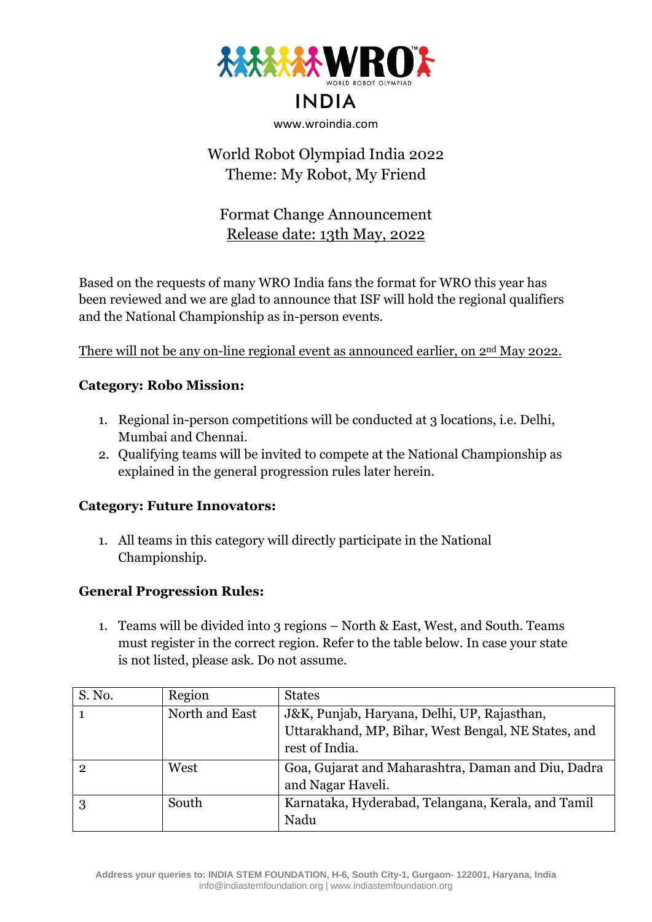

# **INDIA**

#### www.wroindia.com

# World Robot Olympiad India 2022 Theme: My Robot, My Friend

# Format Change Announcement Release date: 13th May, 2022

Based on the requests of many WRO India fans the format for WRO this year has been reviewed and we are glad to announce that ISF will hold the regional qualifiers and the National Championship as in-person events.

There will not be any on-line regional event as announced earlier, on 2nd May 2022.

### **Category: Robo Mission:**

- 1. Regional in-person competitions will be conducted at 3 locations, i.e. Delhi, Mumbai and Chennai.
- 2. Qualifying teams will be invited to compete at the National Championship as explained in the general progression rules later herein.

#### **Category: Future Innovators:**

1. All teams in this category will directly participate in the National Championship.

## **General Progression Rules:**

1. Teams will be divided into 3 regions – North & East, West, and South. Teams must register in the correct region. Refer to the table below. In case your state is not listed, please ask. Do not assume.

| S. No.         | Region         | <b>States</b>                                                                                                        |
|----------------|----------------|----------------------------------------------------------------------------------------------------------------------|
| $\mathbf{1}$   | North and East | J&K, Punjab, Haryana, Delhi, UP, Rajasthan,<br>Uttarakhand, MP, Bihar, West Bengal, NE States, and<br>rest of India. |
| $\overline{2}$ | West           | Goa, Gujarat and Maharashtra, Daman and Diu, Dadra<br>and Nagar Haveli.                                              |
| 3              | South          | Karnataka, Hyderabad, Telangana, Kerala, and Tamil<br>Nadu                                                           |